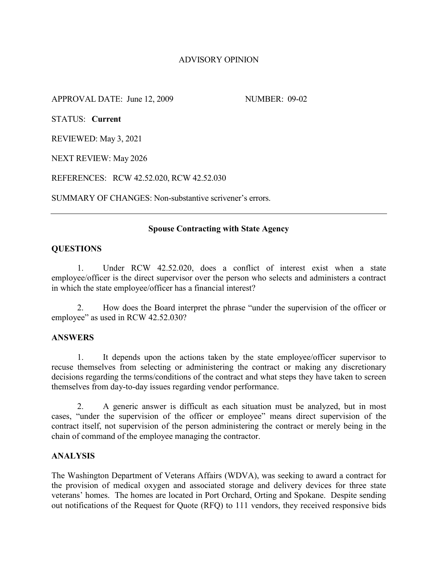# ADVISORY OPINION

APPROVAL DATE: June 12, 2009 NUMBER: 09-02

STATUS: **Current**

REVIEWED: May 3, 2021

NEXT REVIEW: May 2026

REFERENCES: RCW 42.52.020, RCW 42.52.030

SUMMARY OF CHANGES: Non-substantive scrivener's errors.

### **Spouse Contracting with State Agency**

### **QUESTIONS**

1. Under RCW 42.52.020, does a conflict of interest exist when a state employee/officer is the direct supervisor over the person who selects and administers a contract in which the state employee/officer has a financial interest?

2. How does the Board interpret the phrase "under the supervision of the officer or employee" as used in RCW 42.52.030?

### **ANSWERS**

1. It depends upon the actions taken by the state employee/officer supervisor to recuse themselves from selecting or administering the contract or making any discretionary decisions regarding the terms/conditions of the contract and what steps they have taken to screen themselves from day-to-day issues regarding vendor performance.

2. A generic answer is difficult as each situation must be analyzed, but in most cases, "under the supervision of the officer or employee" means direct supervision of the contract itself, not supervision of the person administering the contract or merely being in the chain of command of the employee managing the contractor.

## **ANALYSIS**

The Washington Department of Veterans Affairs (WDVA), was seeking to award a contract for the provision of medical oxygen and associated storage and delivery devices for three state veterans' homes. The homes are located in Port Orchard, Orting and Spokane. Despite sending out notifications of the Request for Quote (RFQ) to 111 vendors, they received responsive bids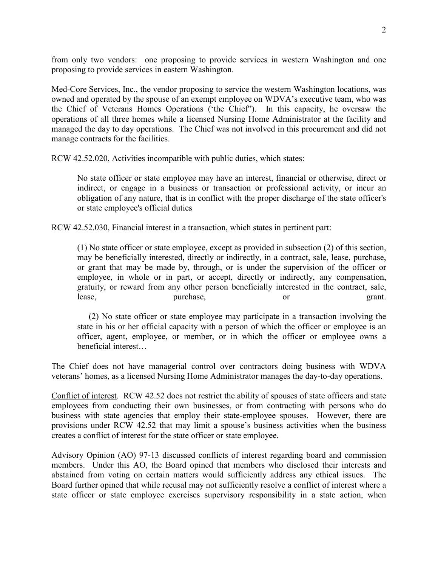from only two vendors: one proposing to provide services in western Washington and one proposing to provide services in eastern Washington.

Med-Core Services, Inc., the vendor proposing to service the western Washington locations, was owned and operated by the spouse of an exempt employee on WDVA's executive team, who was the Chief of Veterans Homes Operations ('the Chief"). In this capacity, he oversaw the operations of all three homes while a licensed Nursing Home Administrator at the facility and managed the day to day operations. The Chief was not involved in this procurement and did not manage contracts for the facilities.

RCW 42.52.020, Activities incompatible with public duties, which states:

No state officer or state employee may have an interest, financial or otherwise, direct or indirect, or engage in a business or transaction or professional activity, or incur an obligation of any nature, that is in conflict with the proper discharge of the state officer's or state employee's official duties

RCW 42.52.030, Financial interest in a transaction, which states in pertinent part:

(1) No state officer or state employee, except as provided in subsection (2) of this section, may be beneficially interested, directly or indirectly, in a contract, sale, lease, purchase, or grant that may be made by, through, or is under the supervision of the officer or employee, in whole or in part, or accept, directly or indirectly, any compensation, gratuity, or reward from any other person beneficially interested in the contract, sale, lease, purchase, or or grant.

 (2) No state officer or state employee may participate in a transaction involving the state in his or her official capacity with a person of which the officer or employee is an officer, agent, employee, or member, or in which the officer or employee owns a beneficial interest…

The Chief does not have managerial control over contractors doing business with WDVA veterans' homes, as a licensed Nursing Home Administrator manages the day-to-day operations.

Conflict of interest. RCW 42.52 does not restrict the ability of spouses of state officers and state employees from conducting their own businesses, or from contracting with persons who do business with state agencies that employ their state-employee spouses. However, there are provisions under RCW 42.52 that may limit a spouse's business activities when the business creates a conflict of interest for the state officer or state employee.

Advisory Opinion (AO) 97-13 discussed conflicts of interest regarding board and commission members. Under this AO, the Board opined that members who disclosed their interests and abstained from voting on certain matters would sufficiently address any ethical issues. The Board further opined that while recusal may not sufficiently resolve a conflict of interest where a state officer or state employee exercises supervisory responsibility in a state action, when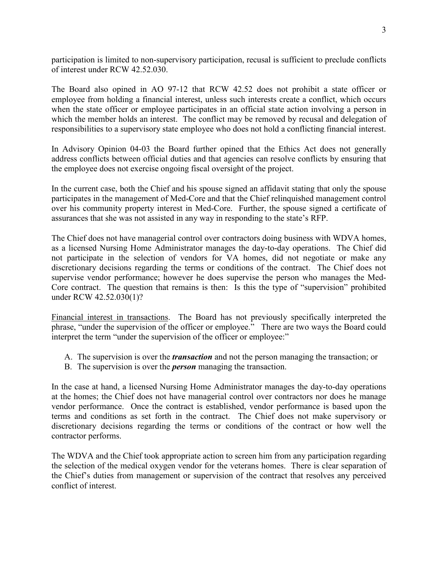participation is limited to non-supervisory participation, recusal is sufficient to preclude conflicts of interest under RCW 42.52.030.

The Board also opined in AO 97-12 that RCW 42.52 does not prohibit a state officer or employee from holding a financial interest, unless such interests create a conflict, which occurs when the state officer or employee participates in an official state action involving a person in which the member holds an interest. The conflict may be removed by recusal and delegation of responsibilities to a supervisory state employee who does not hold a conflicting financial interest.

In Advisory Opinion 04-03 the Board further opined that the Ethics Act does not generally address conflicts between official duties and that agencies can resolve conflicts by ensuring that the employee does not exercise ongoing fiscal oversight of the project.

In the current case, both the Chief and his spouse signed an affidavit stating that only the spouse participates in the management of Med-Core and that the Chief relinquished management control over his community property interest in Med-Core. Further, the spouse signed a certificate of assurances that she was not assisted in any way in responding to the state's RFP.

The Chief does not have managerial control over contractors doing business with WDVA homes, as a licensed Nursing Home Administrator manages the day-to-day operations. The Chief did not participate in the selection of vendors for VA homes, did not negotiate or make any discretionary decisions regarding the terms or conditions of the contract. The Chief does not supervise vendor performance; however he does supervise the person who manages the Med-Core contract. The question that remains is then: Is this the type of "supervision" prohibited under RCW 42.52.030(1)?

Financial interest in transactions. The Board has not previously specifically interpreted the phrase, "under the supervision of the officer or employee." There are two ways the Board could interpret the term "under the supervision of the officer or employee:"

- A. The supervision is over the *transaction* and not the person managing the transaction; or
- B. The supervision is over the *person* managing the transaction.

In the case at hand, a licensed Nursing Home Administrator manages the day-to-day operations at the homes; the Chief does not have managerial control over contractors nor does he manage vendor performance. Once the contract is established, vendor performance is based upon the terms and conditions as set forth in the contract. The Chief does not make supervisory or discretionary decisions regarding the terms or conditions of the contract or how well the contractor performs.

The WDVA and the Chief took appropriate action to screen him from any participation regarding the selection of the medical oxygen vendor for the veterans homes. There is clear separation of the Chief's duties from management or supervision of the contract that resolves any perceived conflict of interest.